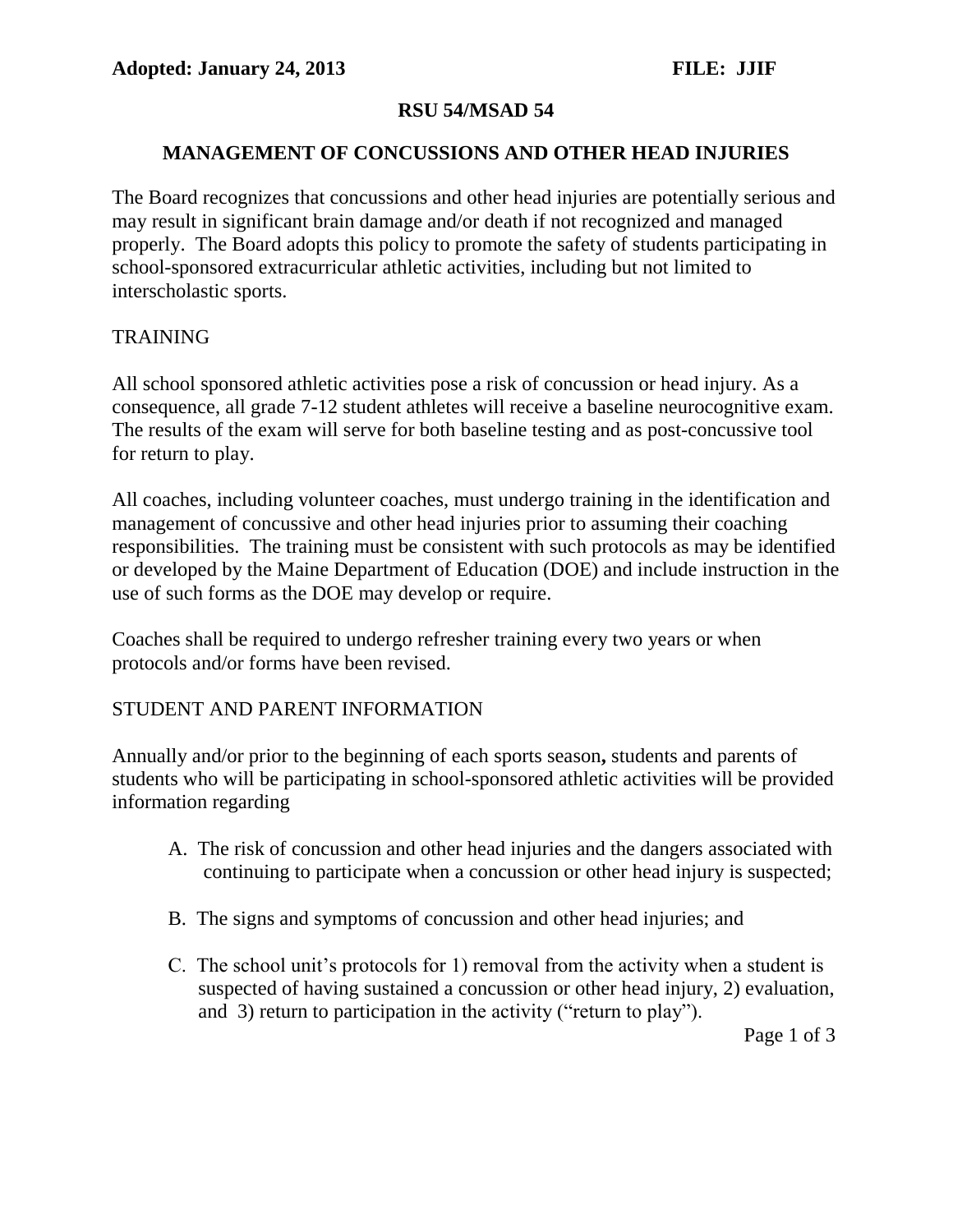## **RSU 54/MSAD 54**

#### **MANAGEMENT OF CONCUSSIONS AND OTHER HEAD INJURIES**

The Board recognizes that concussions and other head injuries are potentially serious and may result in significant brain damage and/or death if not recognized and managed properly. The Board adopts this policy to promote the safety of students participating in school-sponsored extracurricular athletic activities, including but not limited to interscholastic sports.

#### TRAINING

All school sponsored athletic activities pose a risk of concussion or head injury. As a consequence, all grade 7-12 student athletes will receive a baseline neurocognitive exam. The results of the exam will serve for both baseline testing and as post-concussive tool for return to play.

All coaches, including volunteer coaches, must undergo training in the identification and management of concussive and other head injuries prior to assuming their coaching responsibilities. The training must be consistent with such protocols as may be identified or developed by the Maine Department of Education (DOE) and include instruction in the use of such forms as the DOE may develop or require.

Coaches shall be required to undergo refresher training every two years or when protocols and/or forms have been revised.

## STUDENT AND PARENT INFORMATION

Annually and/or prior to the beginning of each sports season**,** students and parents of students who will be participating in school-sponsored athletic activities will be provided information regarding

- A. The risk of concussion and other head injuries and the dangers associated with continuing to participate when a concussion or other head injury is suspected;
- B. The signs and symptoms of concussion and other head injuries; and
- C. The school unit's protocols for 1) removal from the activity when a student is suspected of having sustained a concussion or other head injury, 2) evaluation, and 3) return to participation in the activity ("return to play").

Page 1 of 3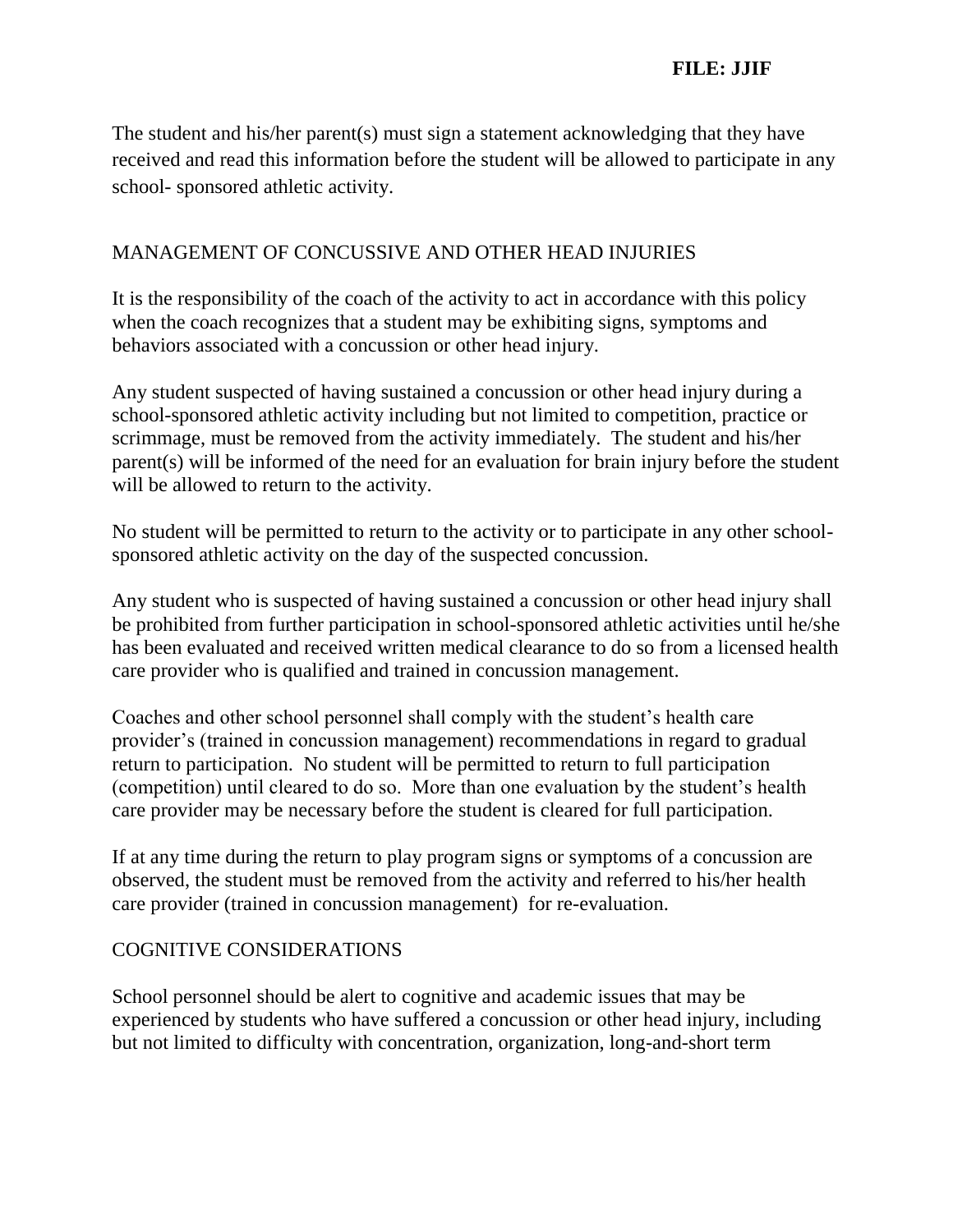The student and his/her parent(s) must sign a statement acknowledging that they have received and read this information before the student will be allowed to participate in any school- sponsored athletic activity.

## MANAGEMENT OF CONCUSSIVE AND OTHER HEAD INJURIES

It is the responsibility of the coach of the activity to act in accordance with this policy when the coach recognizes that a student may be exhibiting signs, symptoms and behaviors associated with a concussion or other head injury.

Any student suspected of having sustained a concussion or other head injury during a school-sponsored athletic activity including but not limited to competition, practice or scrimmage, must be removed from the activity immediately. The student and his/her parent(s) will be informed of the need for an evaluation for brain injury before the student will be allowed to return to the activity.

No student will be permitted to return to the activity or to participate in any other schoolsponsored athletic activity on the day of the suspected concussion.

Any student who is suspected of having sustained a concussion or other head injury shall be prohibited from further participation in school-sponsored athletic activities until he/she has been evaluated and received written medical clearance to do so from a licensed health care provider who is qualified and trained in concussion management.

Coaches and other school personnel shall comply with the student's health care provider's (trained in concussion management) recommendations in regard to gradual return to participation. No student will be permitted to return to full participation (competition) until cleared to do so. More than one evaluation by the student's health care provider may be necessary before the student is cleared for full participation.

If at any time during the return to play program signs or symptoms of a concussion are observed, the student must be removed from the activity and referred to his/her health care provider (trained in concussion management) for re-evaluation.

#### COGNITIVE CONSIDERATIONS

School personnel should be alert to cognitive and academic issues that may be experienced by students who have suffered a concussion or other head injury, including but not limited to difficulty with concentration, organization, long-and-short term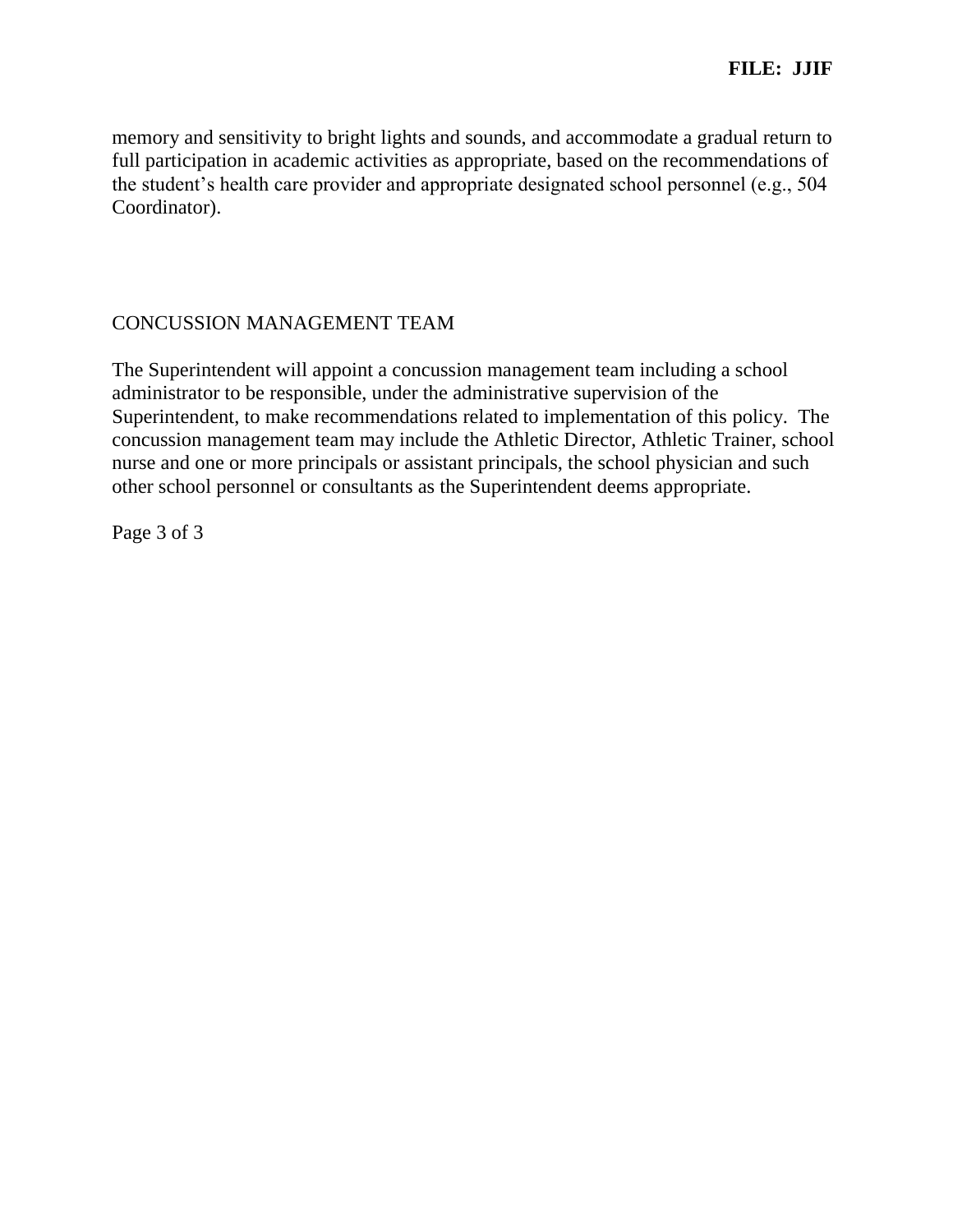memory and sensitivity to bright lights and sounds, and accommodate a gradual return to full participation in academic activities as appropriate, based on the recommendations of the student's health care provider and appropriate designated school personnel (e.g., 504 Coordinator).

## CONCUSSION MANAGEMENT TEAM

The Superintendent will appoint a concussion management team including a school administrator to be responsible, under the administrative supervision of the Superintendent, to make recommendations related to implementation of this policy. The concussion management team may include the Athletic Director, Athletic Trainer, school nurse and one or more principals or assistant principals, the school physician and such other school personnel or consultants as the Superintendent deems appropriate.

Page 3 of 3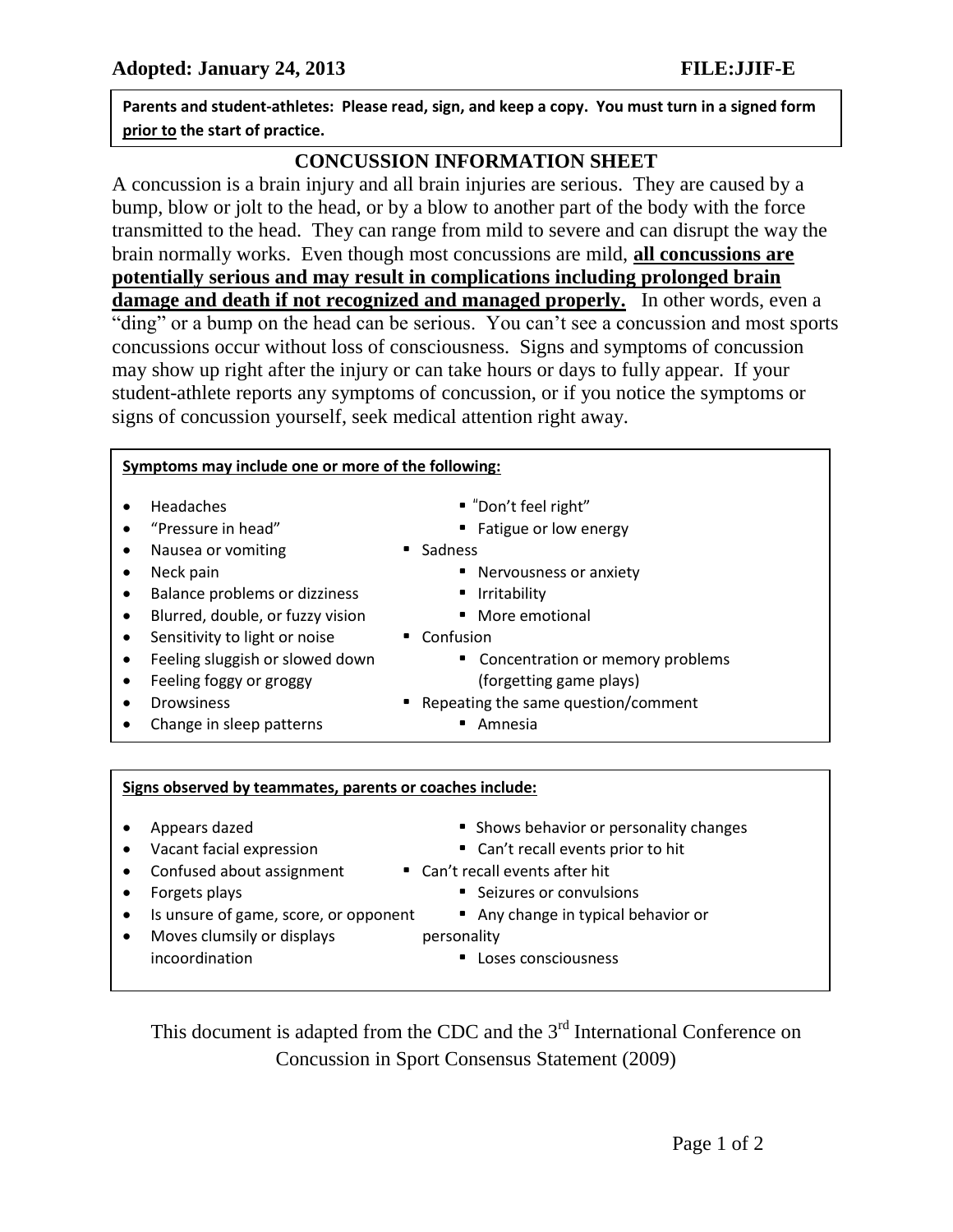**RSU54/MSAD54 Parents and student-athletes: Please read, sign, and keep a copy. You must turn in a signed form prior to the start of practice.**

# **CONCUSSION INFORMATION SHEET**

A concussion is a brain injury and all brain injuries are serious. They are caused by a bump, blow or jolt to the head, or by a blow to another part of the body with the force transmitted to the head. They can range from mild to severe and can disrupt the way the brain normally works. Even though most concussions are mild, **all concussions are potentially serious and may result in complications including prolonged brain damage and death if not recognized and managed properly.** In other words, even a "ding" or a bump on the head can be serious. You can't see a concussion and most sports concussions occur without loss of consciousness. Signs and symptoms of concussion may show up right after the injury or can take hours or days to fully appear. If your

student-athlete reports any symptoms of concussion, or if you notice the symptoms or signs of concussion yourself, seek medical attention right away.

#### **Symptoms may include one or more of the following:**

- 
- 
- Nausea or vomiting **•** Sadness
- 
- Balance problems or dizziness Irritability
- Blurred, double, or fuzzy vision More emotional
- Sensitivity to light or noise Confusion
- 
- 
- 
- Change in sleep patterns **•** Amnesia
- Headaches "Don't feel right"
- "Pressure in head" Fatigue or low energy
	-
- Neck pain **•** Nervousness or anxiety
	-
	-
	-
- Feeling sluggish or slowed down Concentration or memory problems • Feeling foggy or groggy example that is a large (forgetting game plays)
- Drowsiness  **Repeating the same question/comment** 
	-

#### **Signs observed by teammates, parents or coaches include:**

Answers of the slowly experimental speech of the slowly slowly slowly slowly slowly slowly slowly slowly slowly

- 
- 
- Confused about assignment Can't recall events after hit
- 
- Is unsure of game, score, or opponent Any change in typical behavior or
- Moves clumsily or displays many personality incoordination **•** Loses consciousness
- Appears dazed **•** Shows behavior or personality changes
- Vacant facial expression Can't recall events prior to hit
	-
- Forgets plays Seizures or convulsions
	-
	- -

This document is adapted from the CDC and the 3<sup>rd</sup> International Conference on Concussion in Sport Consensus Statement (2009)